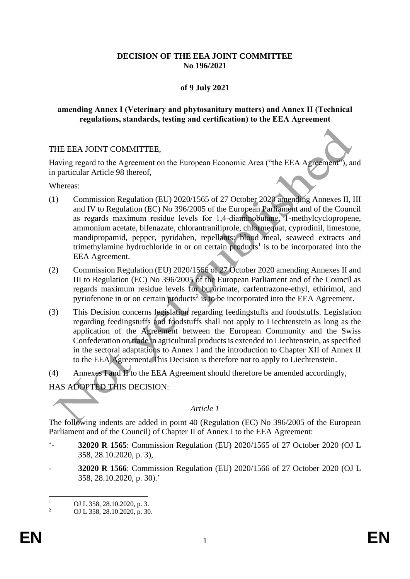# **DECISION OF THE EEA JOINT COMMITTEE No 196/2021**

# **of 9 July 2021**

## **amending Annex I (Veterinary and phytosanitary matters) and Annex II (Technical regulations, standards, testing and certification) to the EEA Agreement**

## THE EEA JOINT COMMITTEE,

Having regard to the Agreement on the European Economic Area ("the EEA Agreement"), and in particular Article 98 thereof,

Whereas:

- (1) Commission Regulation (EU) 2020/1565 of 27 October 2020 amending Annexes II, III and IV to Regulation (EC) No 396/2005 of the European Parliament and of the Council as regards maximum residue levels for 1,4‐diaminobutane, 1-methylcyclopropene, ammonium acetate, bifenazate, chlorantraniliprole, chlormequat, cyprodinil, limestone, mandipropamid, pepper, pyridaben, repellants: blood meal, seaweed extracts and trimethylamine hydrochloride in or on certain products<sup>1</sup> is to be incorporated into the EEA Agreement.
- (2) Commission Regulation (EU) 2020/1566 of 27 October 2020 amending Annexes II and III to Regulation (EC) No 396/2005 of the European Parliament and of the Council as regards maximum residue levels for bupirimate, carfentrazone-ethyl, ethirimol, and pyriofenone in or on certain products<sup>2</sup> is to be incorporated into the EEA Agreement.
- (3) This Decision concerns legislation regarding feedingstuffs and foodstuffs. Legislation regarding feedingstuffs and foodstuffs shall not apply to Liechtenstein as long as the application of the Agreement between the European Community and the Swiss Confederation on trade in agricultural products is extended to Liechtenstein, as specified in the sectoral adaptations to Annex I and the introduction to Chapter XII of Annex II to the EEA Agreement. This Decision is therefore not to apply to Liechtenstein.
- (4) Annexes I and II to the EEA Agreement should therefore be amended accordingly, HAS ADOPTED THIS DECISION:

## *Article 1*

The following indents are added in point 40 (Regulation (EC) No 396/2005 of the European Parliament and of the Council) of Chapter II of Annex I to the EEA Agreement:

- '- **32020 R 1565**: Commission Regulation (EU) 2020/1565 of 27 October 2020 (OJ L 358, 28.10.2020, p. 3),
- **32020 R 1566**: Commission Regulation (EU) 2020/1566 of 27 October 2020 (OJ L 358, 28.10.2020, p. 30).'

 $\frac{1}{2}$  OJ L 358, 28.10.2020, p. 3.

<sup>2</sup> OJ L 358, 28.10.2020, p. 30.